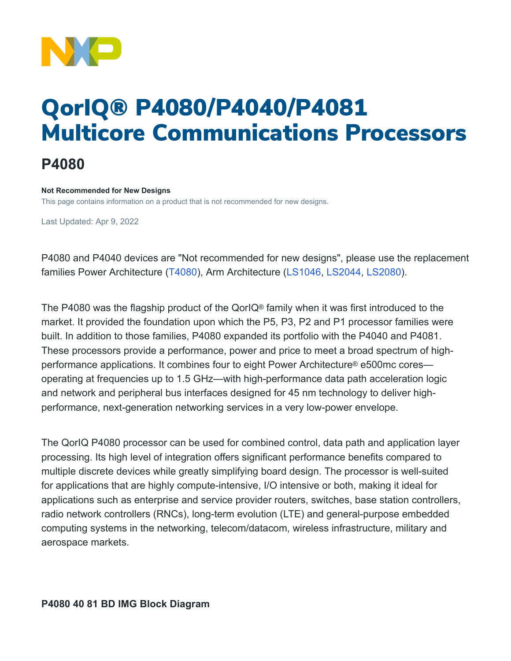

## QorIQ® P4080/P4040/P4081 Multicore Communications Processors

## **P4080**

## **Not Recommended for New Designs**

This page contains information on a product that is not recommended for new designs.

Last Updated: Apr 9, 2022

P4080 and P4040 devices are "Not recommended for new designs", please use the replacement families Power Architecture [\(T4080](https://www.nxp.com/products/processors-and-microcontrollers/power-architecture/qoriq-communication-processors/t-series/qoriq-t4240-t4160-t4080-multicore-communications-processors:T4240)), Arm Architecture [\(LS1046,](https://www.nxp.com/products/processors-and-microcontrollers/arm-processors/layerscape-processors/layerscape-1046a-and-1026a-processors:LS1046A) [LS2044,](https://www.nxp.com/products/processors-and-microcontrollers/arm-processors/layerscape-processors/layerscape-2084a-and-2044a-multicore-processors:LS2084A) [LS2080\)](https://www.nxp.com/products/processors-and-microcontrollers/arm-processors/layerscape-processors/layerscape-2088a-and-2048a-processors:LS2088A).

The P4080 was the flagship product of the QorIQ® family when it was first introduced to the market. It provided the foundation upon which the P5, P3, P2 and P1 processor families were built. In addition to those families, P4080 expanded its portfolio with the P4040 and P4081. These processors provide a performance, power and price to meet a broad spectrum of highperformance applications. It combines four to eight Power Architecture® e500mc cores operating at frequencies up to 1.5 GHz—with high-performance data path acceleration logic and network and peripheral bus interfaces designed for 45 nm technology to deliver highperformance, next-generation networking services in a very low-power envelope.

The QorIQ P4080 processor can be used for combined control, data path and application layer processing. Its high level of integration offers significant performance benefits compared to multiple discrete devices while greatly simplifying board design. The processor is well-suited for applications that are highly compute-intensive, I/O intensive or both, making it ideal for applications such as enterprise and service provider routers, switches, base station controllers, radio network controllers (RNCs), long-term evolution (LTE) and general-purpose embedded computing systems in the networking, telecom/datacom, wireless infrastructure, military and aerospace markets.

**P4080 40 81 BD IMG Block Diagram**